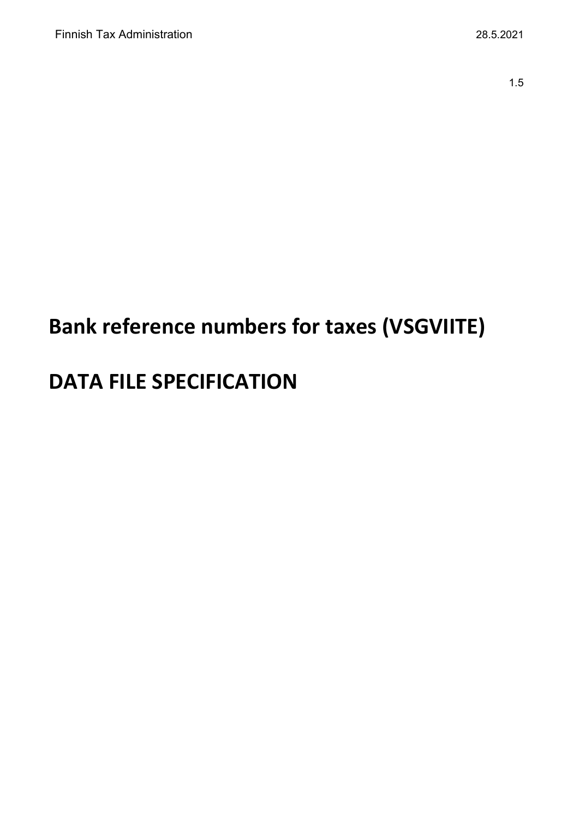# **Bank reference numbers for taxes (VSGVIITE)**

# **DATA FILE SPECIFICATION**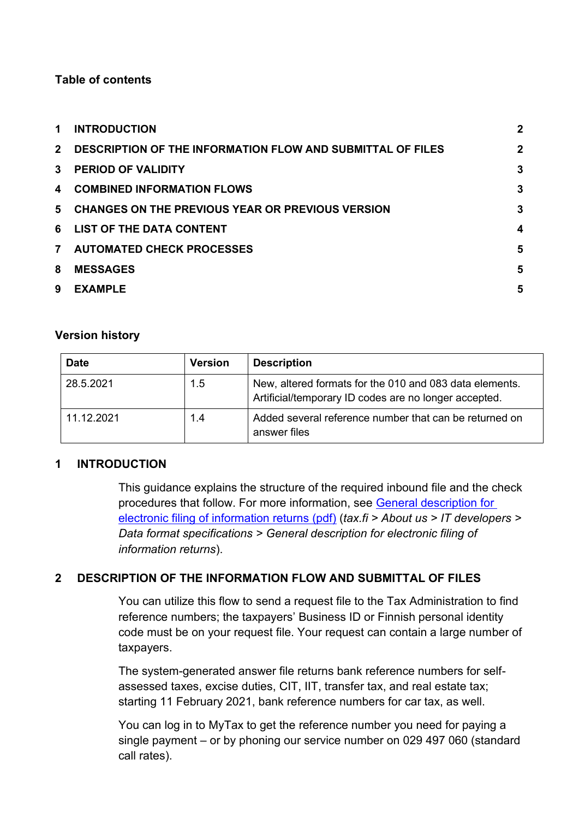# **Table of contents**

| 1              | <b>INTRODUCTION</b>                                               | $\mathbf{2}$     |
|----------------|-------------------------------------------------------------------|------------------|
| $2^{\circ}$    | <b>DESCRIPTION OF THE INFORMATION FLOW AND SUBMITTAL OF FILES</b> | $\mathbf{2}$     |
| 3              | <b>PERIOD OF VALIDITY</b>                                         | 3                |
| 4              | <b>COMBINED INFORMATION FLOWS</b>                                 | $\mathbf{3}$     |
| 5              | <b>CHANGES ON THE PREVIOUS YEAR OR PREVIOUS VERSION</b>           | 3                |
|                | 6 LIST OF THE DATA CONTENT                                        | $\boldsymbol{4}$ |
| $\overline{7}$ | <b>AUTOMATED CHECK PROCESSES</b>                                  | 5                |
| 8              | <b>MESSAGES</b>                                                   | 5                |
| 9              | <b>EXAMPLE</b>                                                    | 5                |
|                |                                                                   |                  |

# **Version history**

| <b>Date</b> | <b>Version</b> | <b>Description</b>                                                                                               |
|-------------|----------------|------------------------------------------------------------------------------------------------------------------|
| 28.5.2021   | 1.5            | New, altered formats for the 010 and 083 data elements.<br>Artificial/temporary ID codes are no longer accepted. |
| 11.12.2021  | 1.4            | Added several reference number that can be returned on<br>answer files                                           |

# <span id="page-1-0"></span>**1 INTRODUCTION**

This guidance explains the structure of the required inbound file and the check procedures that follow. For more information, see [General description for](https://www.vero.fi/globalassets/tietoa-verohallinnosta/ohjelmistokehittajille/s%C3%A4hk%C3%B6isen-ilmoittamisen-yleiskuvaus2.pdf)  [electronic filing of information returns \(pdf\)](https://www.vero.fi/globalassets/tietoa-verohallinnosta/ohjelmistokehittajille/s%C3%A4hk%C3%B6isen-ilmoittamisen-yleiskuvaus2.pdf) (*tax.fi > About us > IT developers > Data format specifications > General description for electronic filing of information returns*).

# <span id="page-1-1"></span>**2 DESCRIPTION OF THE INFORMATION FLOW AND SUBMITTAL OF FILES**

You can utilize this flow to send a request file to the Tax Administration to find reference numbers; the taxpayers' Business ID or Finnish personal identity code must be on your request file. Your request can contain a large number of taxpayers.

The system-generated answer file returns bank reference numbers for selfassessed taxes, excise duties, CIT, IIT, transfer tax, and real estate tax; starting 11 February 2021, bank reference numbers for car tax, as well.

You can log in to MyTax to get the reference number you need for paying a single payment – or by phoning our service number on 029 497 060 (standard call rates).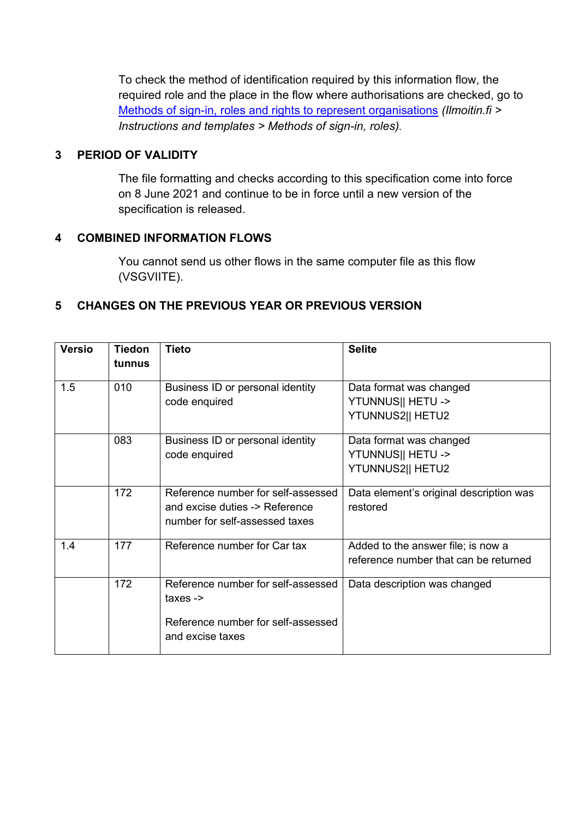To check the method of identification required by this information flow, the required role and the place in the flow where authorisations are checked, go to [Methods of sign-in, roles and rights to represent organisations](https://www.ilmoitin.fi/webtamo/sivut/IlmoituslajiRoolit?tv=VSGVIITE) *[\(Ilmoitin.fi >](https://www.ilmoitin.fi/webtamo/sivut/IlmoituslajiRoolit?kieli=en)  [Instructions and templates > Methods of sign-in, roles\)](https://www.ilmoitin.fi/webtamo/sivut/IlmoituslajiRoolit?kieli=en).*

# <span id="page-2-0"></span>**3 PERIOD OF VALIDITY**

The file formatting and checks according to this specification come into force on 8 June 2021 and continue to be in force until a new version of the specification is released.

# <span id="page-2-1"></span>**4 COMBINED INFORMATION FLOWS**

You cannot send us other flows in the same computer file as this flow (VSGVIITE).

# <span id="page-2-2"></span>**5 CHANGES ON THE PREVIOUS YEAR OR PREVIOUS VERSION**

| <b>Versio</b> | <b>Tiedon</b> | <b>Tieto</b>                       | <b>Selite</b>                           |
|---------------|---------------|------------------------------------|-----------------------------------------|
|               | tunnus        |                                    |                                         |
| 1.5           | 010           | Business ID or personal identity   | Data format was changed                 |
|               |               | code enquired                      | YTUNNUS   HETU ->                       |
|               |               |                                    | YTUNNUS2   HETU2                        |
|               | 083           | Business ID or personal identity   | Data format was changed                 |
|               |               | code enquired                      | YTUNNUS   HETU ->                       |
|               |               |                                    | YTUNNUS2   HETU2                        |
|               | 172           | Reference number for self-assessed | Data element's original description was |
|               |               | and excise duties -> Reference     | restored                                |
|               |               | number for self-assessed taxes     |                                         |
| 1.4           | 177           | Reference number for Car tax       | Added to the answer file; is now a      |
|               |               |                                    | reference number that can be returned   |
|               | 172           | Reference number for self-assessed | Data description was changed            |
|               |               | taxes $\rightarrow$                |                                         |
|               |               | Reference number for self-assessed |                                         |
|               |               | and excise taxes                   |                                         |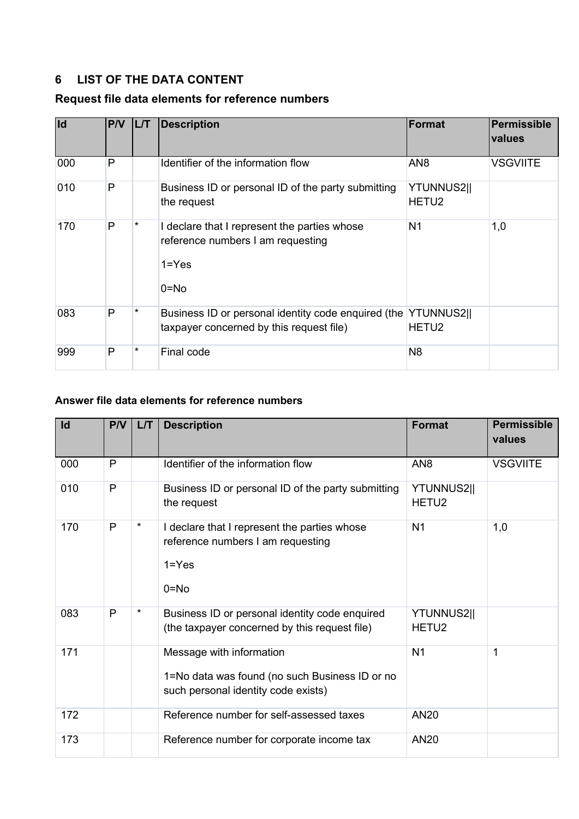# <span id="page-3-0"></span>**6 LIST OF THE DATA CONTENT**

# **Request file data elements for reference numbers**

| lld | P/V          | <b>IL/T</b> | <b>Description</b>                                                                                     | <b>Format</b>                          | <b>Permissible</b><br>values |
|-----|--------------|-------------|--------------------------------------------------------------------------------------------------------|----------------------------------------|------------------------------|
| 000 | $\mathsf{P}$ |             | Identifier of the information flow                                                                     | AN <sub>8</sub>                        | <b>VSGVIITE</b>              |
| 010 | P            |             | Business ID or personal ID of the party submitting<br>the request                                      | YTUNNUS2  <br>HETU <sub>2</sub>        |                              |
| 170 | P            | $\star$     | I declare that I represent the parties whose<br>reference numbers I am requesting<br>$1 = Yes$<br>0=No | N <sub>1</sub>                         | 1,0                          |
| 083 | P            | *           | Business ID or personal identity code enquired (the<br>taxpayer concerned by this request file)        | <b>YTUNNUS2  </b><br>HETU <sub>2</sub> |                              |
| 999 | P            | *           | Final code                                                                                             | N <sub>8</sub>                         |                              |

# **Answer file data elements for reference numbers**

| Id  | P/V          | LT      | <b>Description</b>                                                                                                | <b>Format</b>                          | <b>Permissible</b><br>values |
|-----|--------------|---------|-------------------------------------------------------------------------------------------------------------------|----------------------------------------|------------------------------|
| 000 | $\mathsf{P}$ |         | Identifier of the information flow                                                                                | AN <sub>8</sub>                        | <b>VSGVIITE</b>              |
| 010 | P            |         | Business ID or personal ID of the party submitting<br>the request                                                 | <b>YTUNNUS2  </b><br>HETU <sub>2</sub> |                              |
| 170 | $\mathsf{P}$ | $\star$ | I declare that I represent the parties whose<br>reference numbers I am requesting<br>$1 = Yes$<br>$0 = No$        | N <sub>1</sub>                         | 1,0                          |
| 083 | P            | $\star$ | Business ID or personal identity code enquired<br>(the taxpayer concerned by this request file)                   | YTUNNUS2  <br>HETU <sub>2</sub>        |                              |
| 171 |              |         | Message with information<br>1=No data was found (no such Business ID or no<br>such personal identity code exists) | N <sub>1</sub>                         | 1                            |
| 172 |              |         | Reference number for self-assessed taxes                                                                          | <b>AN20</b>                            |                              |
| 173 |              |         | Reference number for corporate income tax                                                                         | <b>AN20</b>                            |                              |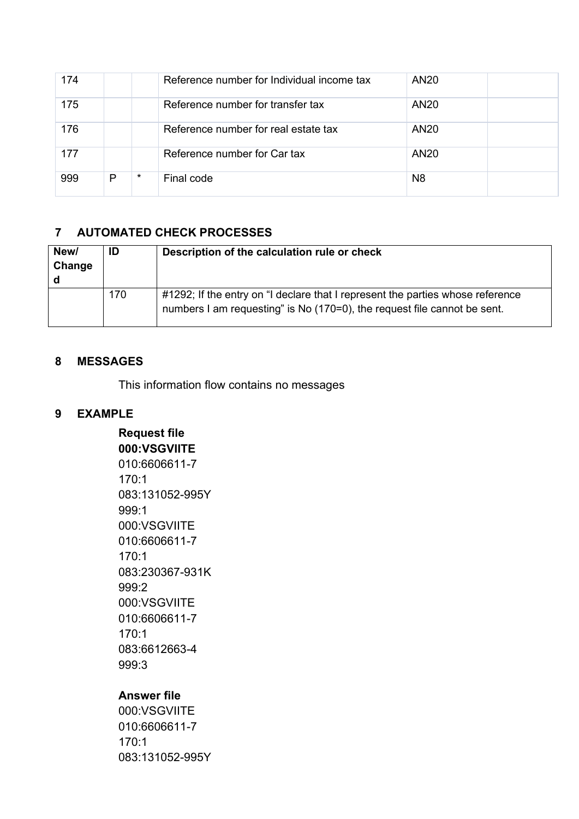| 174 |   |         | Reference number for Individual income tax | <b>AN20</b>    |  |
|-----|---|---------|--------------------------------------------|----------------|--|
| 175 |   |         | Reference number for transfer tax          | <b>AN20</b>    |  |
| 176 |   |         | Reference number for real estate tax       | <b>AN20</b>    |  |
| 177 |   |         | Reference number for Car tax               | <b>AN20</b>    |  |
| 999 | P | $\star$ | Final code                                 | N <sub>8</sub> |  |

# <span id="page-4-0"></span>**7 AUTOMATED CHECK PROCESSES**

| New/<br>Change | ID  | Description of the calculation rule or check                                                                                                               |
|----------------|-----|------------------------------------------------------------------------------------------------------------------------------------------------------------|
|                | 170 | #1292; If the entry on "I declare that I represent the parties whose reference<br>numbers I am requesting" is No (170=0), the request file cannot be sent. |

#### <span id="page-4-1"></span>**8 MESSAGES**

This information flow contains no messages

# <span id="page-4-2"></span>**9 EXAMPLE**

**Request file 000:VSGVIITE** 010:6606611-7 170:1 083:131052-995Y 999:1 000:VSGVIITE 010:6606611-7 170:1 083:230367-931K 999:2 000:VSGVIITE 010:6606611-7 170:1 083:6612663-4 999:3

# **Answer file**

000:VSGVIITE 010:6606611-7 170:1 083:131052-995Y